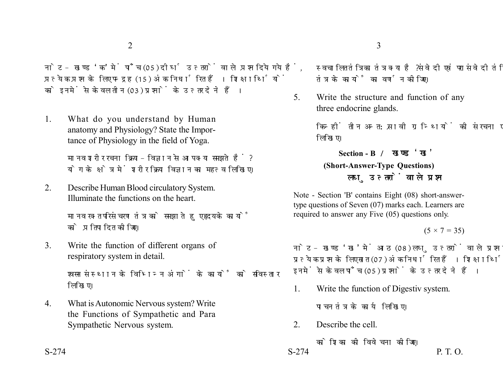नोट- खण्ड 'क' में पाँच (05) दीर्घ उत्तरों वाले प्रश्न दिये गये हैं. प्रत्येक प्रश्न के लिए पन्द्रह (15) अंक निर्धारित हैं। शिक्षार्थियों को इनमें से केवल तीन (03) प्रश्नों के उत्तर देने हैं।

1. What do you understand by Human anatomy and Physiology? State the Importance of Physiology in the field of Yoga.

> मानव शरीर रचना क्रिया-विज्ञान से आप क्या समझते हैं ? योग के क्षेत्र में शरीर क्रिया विज्ञान का महत्व लिखिए।

2. Describe Human Blood circulatory System. Illuminate the functions on the heart.

> मानव रक्त परिसंचरण तंत्र को समझाते हुए हृदय के कार्यों को प्रतिपादित कीजिए।

3. Write the function of different organs of respiratory system in detail.

> श्वसन संस्थान के विभिन्न अंगों के कार्यों को सविस्तार लिखिए।

4. What is Autonomic Nervous system? Write the Functions of Sympathetic and Para Sympathetic Nervous system.

स्वचालित तंत्रिका तंत्र क्या है ? संवेदी एवं परासंवेदी तंत्रिका तंत्र के कार्यों का वर्णन कीजिए।

5. Write the structure and function of any three endocrine glands.

> किन्हीं तीन अन्त:स्रावी ग्रन्थियों की संरचना एवं कार्य লিखिए।

**Section - B (Short-Answer-Type Questions)** लघ उत्तरों वाले प्रश्न

Note - Section 'B' contains Eight (08) short-answertype questions of Seven (07) marks each. Learners are required to answer any Five (05) questions only.

## $(5 \times 7 = 35)$

नोट- खण्ड 'ख' में आठ (08) लघु उत्तरों वाले प्रश्न दिये गये हैं, प्रत्येक प्रश्न के लिए सात (07) अंक निर्धारित हैं। शिक्षार्थियों को इनमें से केवल पाँच (05) प्रश्नों के उत्तर देने हैं।

1. Write the function of Digestiv system.

पाचन तंत्र के कार्य लिखिए।

2. Describe the cell.

कोशिका की विवेचना कीजिए।  $S-274$  P. T. O.